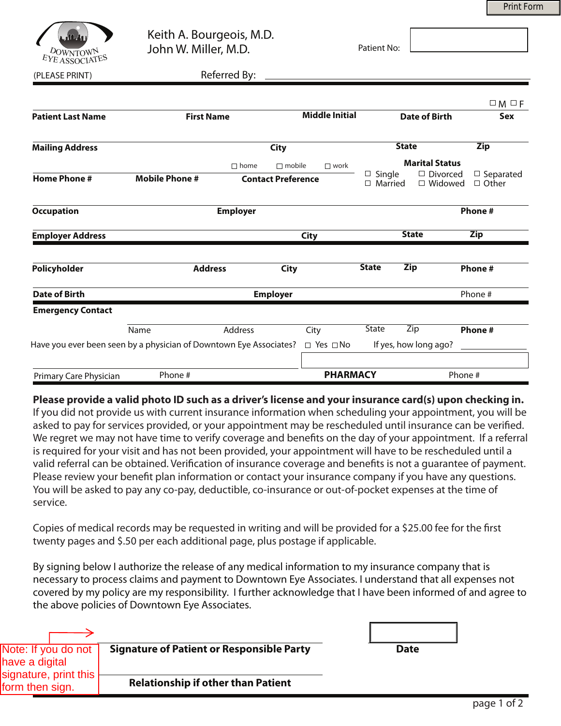Print Form



Keith A. Bourgeois, M.D. John W. Miller, M.D.

Patient No:

(PLEASE PRINT) Referred By:

|                          |                                                                    |                                                |                       |                      |                                 |                              | $\Box M \Box F$                  |
|--------------------------|--------------------------------------------------------------------|------------------------------------------------|-----------------------|----------------------|---------------------------------|------------------------------|----------------------------------|
| <b>Patient Last Name</b> | <b>First Name</b>                                                  |                                                | <b>Middle Initial</b> |                      |                                 | <b>Date of Birth</b>         | Sex                              |
| <b>Mailing Address</b>   |                                                                    | <b>City</b>                                    |                       |                      |                                 | <b>State</b>                 | <b>Zip</b>                       |
|                          |                                                                    | $\Box$ mobile<br>$\square$ work<br>$\Box$ home |                       |                      |                                 | <b>Marital Status</b>        |                                  |
| <b>Home Phone #</b>      | <b>Mobile Phone #</b>                                              | <b>Contact Preference</b>                      |                       |                      | $\Box$ Single<br>$\Box$ Married | □ Divorced<br>$\Box$ Widowed | $\Box$ Separated<br>$\Box$ Other |
| <b>Occupation</b>        |                                                                    | <b>Employer</b>                                |                       |                      |                                 |                              | Phone#                           |
| <b>Employer Address</b>  |                                                                    |                                                |                       | <b>City</b>          |                                 | <b>State</b>                 | Zip                              |
| Policyholder             |                                                                    | <b>Address</b>                                 | <b>City</b>           |                      | <b>State</b>                    | <b>Zip</b>                   | Phone #                          |
| Date of Birth            | <b>Employer</b>                                                    |                                                |                       |                      |                                 | Phone #                      |                                  |
| <b>Emergency Contact</b> |                                                                    |                                                |                       |                      |                                 |                              |                                  |
|                          | Name                                                               | Address                                        |                       | City                 | State                           | Zip                          | Phone#                           |
|                          | Have you ever been seen by a physician of Downtown Eye Associates? |                                                |                       | $\Box$ Yes $\Box$ No |                                 | If yes, how long ago?        |                                  |
| Primary Care Physician   | Phone #                                                            |                                                |                       | <b>PHARMACY</b>      |                                 |                              | Phone #                          |

### **Please provide a valid photo ID such as a driver's license and your insurance card(s) upon checking in.**

If you did not provide us with current insurance information when scheduling your appointment, you will be asked to pay for services provided, or your appointment may be rescheduled until insurance can be verified. We regret we may not have time to verify coverage and benefits on the day of your appointment. If a referral is required for your visit and has not been provided, your appointment will have to be rescheduled until a valid referral can be obtained. Verification of insurance coverage and benefits is not a guarantee of payment. Please review your benefit plan information or contact your insurance company if you have any questions. You will be asked to pay any co-pay, deductible, co-insurance or out-of-pocket expenses at the time of service.

Copies of medical records may be requested in writing and will be provided for a \$25.00 fee for the first twenty pages and \$.50 per each additional page, plus postage if applicable.

By signing below I authorize the release of any medical information to my insurance company that is necessary to process claims and payment to Downtown Eye Associates. I understand that all expenses not covered by my policy are my responsibility. I further acknowledge that I have been informed of and agree to the above policies of Downtown Eye Associates.

| Note: If you do not<br>have a digital            | <b>Signature of Patient or Responsible Party</b> | <b>Date</b> |
|--------------------------------------------------|--------------------------------------------------|-------------|
| signature, print this $\vert$<br>form then sign. | <b>Relationship if other than Patient</b>        |             |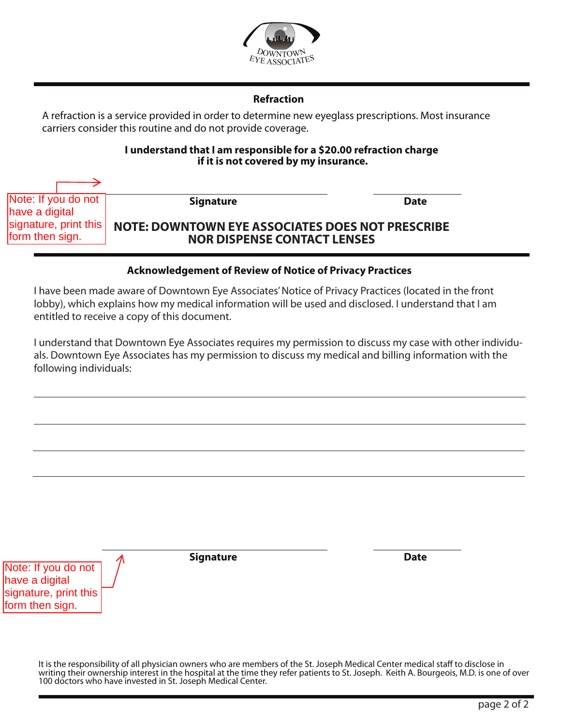

# **Refraction**

A refraction is a service provided in order to determine new eyeglass prescriptions. Most insurance carriers consider this routine and do not provide coverage.

#### **I understand that I am responsible for a \$20.00 refraction charge if it is not covered by my insurance.**

| Note: If you do not                                                               | <b>Signature</b>                                                                                                                                                                                                                                | <b>Date</b> |
|-----------------------------------------------------------------------------------|-------------------------------------------------------------------------------------------------------------------------------------------------------------------------------------------------------------------------------------------------|-------------|
| have a digital<br>signature, print this                                           | <b>NOTE: DOWNTOWN EYE ASSOCIATES DOES NOT PRESCRIBE</b>                                                                                                                                                                                         |             |
| form then sign.                                                                   | <b>NOR DISPENSE CONTACT LENSES</b>                                                                                                                                                                                                              |             |
|                                                                                   |                                                                                                                                                                                                                                                 |             |
|                                                                                   | <b>Acknowledgement of Review of Notice of Privacy Practices</b>                                                                                                                                                                                 |             |
|                                                                                   | I have been made aware of Downtown Eye Associates' Notice of Privacy Practices (located in the<br>lobby), which explains how my medical information will be used and disclosed. I understand th<br>entitled to receive a copy of this document. |             |
| following individuals:                                                            | I understand that Downtown Eye Associates requires my permission to discuss my case with ot<br>als. Downtown Eye Associates has my permission to discuss my medical and billing information                                                     |             |
|                                                                                   |                                                                                                                                                                                                                                                 |             |
|                                                                                   |                                                                                                                                                                                                                                                 |             |
|                                                                                   |                                                                                                                                                                                                                                                 |             |
|                                                                                   |                                                                                                                                                                                                                                                 |             |
| Note: If you do not<br>have a digital<br>signature, print this<br>form then sign. | <b>Signature</b>                                                                                                                                                                                                                                | <b>Date</b> |
|                                                                                   | It is the responsibility of all physician owners who are members of the St. Joseph Medical Center medical staff to writing their ownership interest in the hospital at the time they refer patients to St. Joseph. Keith A. Bo                  |             |

## **Acknowledgement of Review of Notice of Privacy Practices**

I have been made aware of Downtown Eye Associates' Notice of Privacy Practices (located in the front lobby), which explains how my medical information will be used and disclosed. I understand that I am entitled to receive a copy of this document.

I understand that Downtown Eye Associates requires my permission to discuss my case with other individuals. Downtown Eye Associates has my permission to discuss my medical and billing information with the following individuals:

It is the responsibility of all physician owners who are members of the St. Joseph Medical Center medical staff to disclose in writing their ownership interest in the hospital at the time they refer patients to St. Joseph. Keith A. Bourgeois, M.D. is one of over<br>100 doctors who have invested in St. Joseph Medical Center.